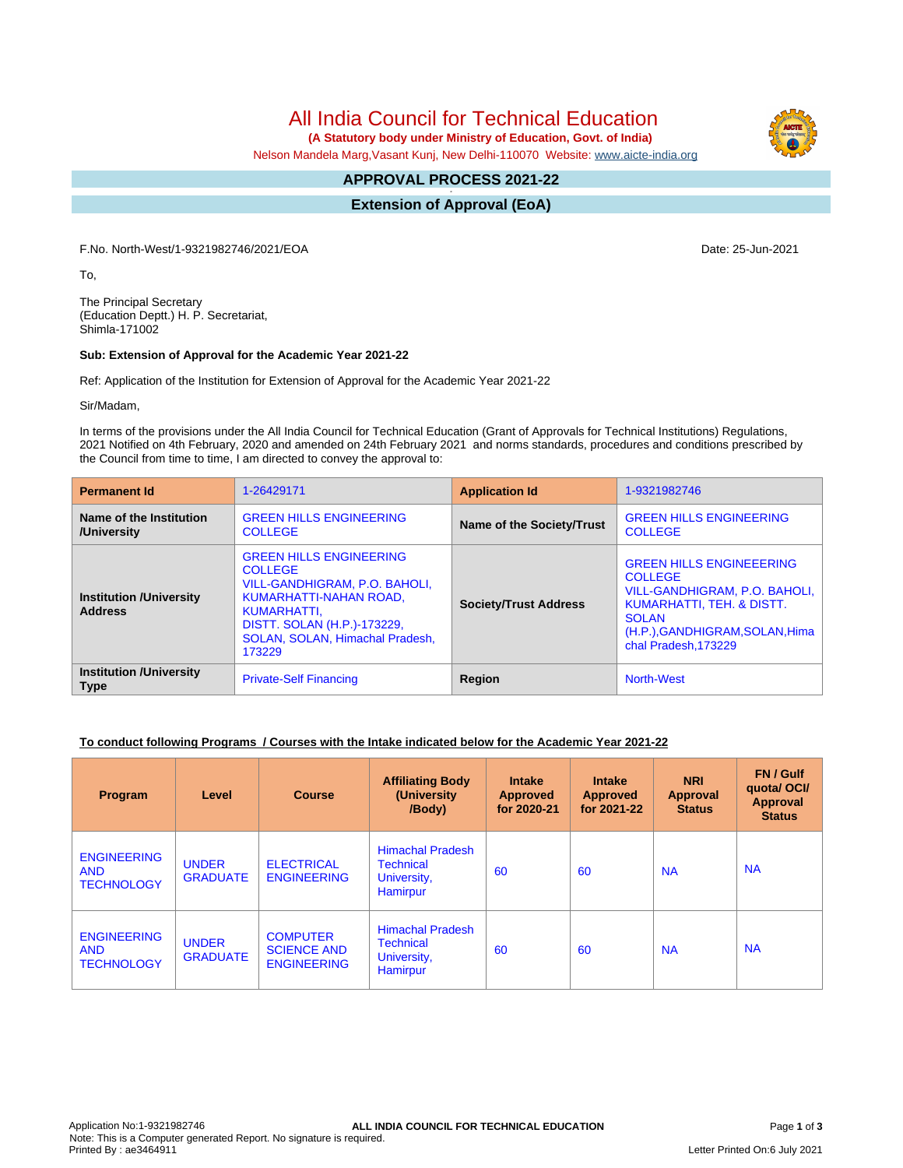# All India Council for Technical Education

 **(A Statutory body under Ministry of Education, Govt. of India)**

Nelson Mandela Marg,Vasant Kunj, New Delhi-110070 Website: [www.aicte-india.org](http://www.aicte-india.org)

#### **APPROVAL PROCESS 2021-22 -**

**Extension of Approval (EoA)**

F.No. North-West/1-9321982746/2021/EOA Date: 25-Jun-2021

To,

The Principal Secretary (Education Deptt.) H. P. Secretariat, Shimla-171002

#### **Sub: Extension of Approval for the Academic Year 2021-22**

Ref: Application of the Institution for Extension of Approval for the Academic Year 2021-22

Sir/Madam,

In terms of the provisions under the All India Council for Technical Education (Grant of Approvals for Technical Institutions) Regulations, 2021 Notified on 4th February, 2020 and amended on 24th February 2021 and norms standards, procedures and conditions prescribed by the Council from time to time, I am directed to convey the approval to:

| <b>Permanent Id</b>                              | 1-26429171                                                                                                                                                                                             | <b>Application Id</b>        | 1-9321982746                                                                                                                                                                               |  |
|--------------------------------------------------|--------------------------------------------------------------------------------------------------------------------------------------------------------------------------------------------------------|------------------------------|--------------------------------------------------------------------------------------------------------------------------------------------------------------------------------------------|--|
| Name of the Institution<br>/University           | <b>GREEN HILLS ENGINEERING</b><br><b>COLLEGE</b>                                                                                                                                                       | Name of the Society/Trust    | <b>GREEN HILLS ENGINEERING</b><br><b>COLLEGE</b>                                                                                                                                           |  |
| <b>Institution /University</b><br><b>Address</b> | <b>GREEN HILLS ENGINEERING</b><br><b>COLLEGE</b><br>VILL-GANDHIGRAM, P.O. BAHOLI,<br>KUMARHATTI-NAHAN ROAD,<br>KUMARHATTI,<br>DISTT. SOLAN (H.P.)-173229,<br>SOLAN, SOLAN, Himachal Pradesh,<br>173229 | <b>Society/Trust Address</b> | <b>GREEN HILLS ENGINEEERING</b><br><b>COLLEGE</b><br>VILL-GANDHIGRAM, P.O. BAHOLI,<br>KUMARHATTI, TEH. & DISTT.<br><b>SOLAN</b><br>(H.P.), GANDHIGRAM, SOLAN, Hima<br>chal Pradesh, 173229 |  |
| <b>Institution /University</b><br><b>Type</b>    | <b>Private-Self Financing</b>                                                                                                                                                                          | Region                       | <b>North-West</b>                                                                                                                                                                          |  |

#### **To conduct following Programs / Courses with the Intake indicated below for the Academic Year 2021-22**

| <b>Program</b>                                        | Level                           | <b>Course</b>                                               | <b>Affiliating Body</b><br>(University)<br>/Body)                      | <b>Intake</b><br><b>Approved</b><br>for 2020-21 | <b>Intake</b><br><b>Approved</b><br>for 2021-22 | <b>NRI</b><br>Approval<br><b>Status</b> | FN / Gulf<br>quota/OCI/<br><b>Approval</b><br><b>Status</b> |
|-------------------------------------------------------|---------------------------------|-------------------------------------------------------------|------------------------------------------------------------------------|-------------------------------------------------|-------------------------------------------------|-----------------------------------------|-------------------------------------------------------------|
| <b>ENGINEERING</b><br><b>AND</b><br><b>TECHNOLOGY</b> | <b>UNDER</b><br><b>GRADUATE</b> | <b>ELECTRICAL</b><br><b>ENGINEERING</b>                     | <b>Himachal Pradesh</b><br><b>Technical</b><br>University,<br>Hamirpur | 60                                              | 60                                              | <b>NA</b>                               | <b>NA</b>                                                   |
| <b>ENGINEERING</b><br><b>AND</b><br><b>TECHNOLOGY</b> | <b>UNDER</b><br><b>GRADUATE</b> | <b>COMPUTER</b><br><b>SCIENCE AND</b><br><b>ENGINEERING</b> | <b>Himachal Pradesh</b><br><b>Technical</b><br>University,<br>Hamirpur | 60                                              | 60                                              | <b>NA</b>                               | <b>NA</b>                                                   |

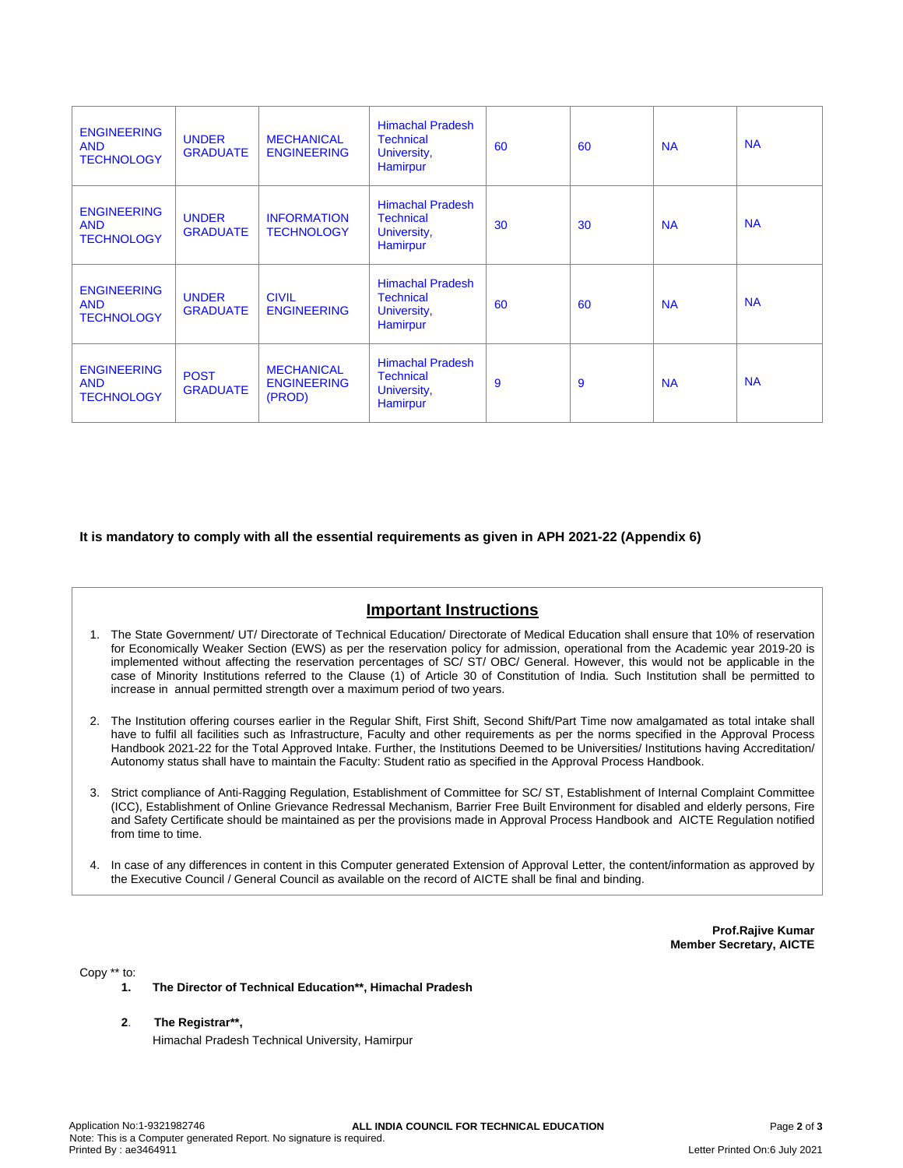| <b>ENGINEERING</b><br><b>AND</b><br><b>TECHNOLOGY</b> | <b>UNDER</b><br><b>GRADUATE</b> | <b>MECHANICAL</b><br><b>ENGINEERING</b>           | <b>Himachal Pradesh</b><br><b>Technical</b><br>University,<br>Hamirpur        | 60 | 60 | <b>NA</b> | <b>NA</b> |
|-------------------------------------------------------|---------------------------------|---------------------------------------------------|-------------------------------------------------------------------------------|----|----|-----------|-----------|
| <b>ENGINEERING</b><br><b>AND</b><br><b>TECHNOLOGY</b> | <b>UNDER</b><br><b>GRADUATE</b> | <b>INFORMATION</b><br><b>TECHNOLOGY</b>           | <b>Himachal Pradesh</b><br><b>Technical</b><br>University,<br>Hamirpur        | 30 | 30 | <b>NA</b> | <b>NA</b> |
| <b>ENGINEERING</b><br><b>AND</b><br><b>TECHNOLOGY</b> | <b>UNDER</b><br><b>GRADUATE</b> | <b>CIVIL</b><br><b>ENGINEERING</b>                | <b>Himachal Pradesh</b><br><b>Technical</b><br>University,<br>Hamirpur        | 60 | 60 | <b>NA</b> | <b>NA</b> |
| <b>ENGINEERING</b><br><b>AND</b><br><b>TECHNOLOGY</b> | <b>POST</b><br><b>GRADUATE</b>  | <b>MECHANICAL</b><br><b>ENGINEERING</b><br>(PROD) | <b>Himachal Pradesh</b><br><b>Technical</b><br>University,<br><b>Hamirpur</b> | 9  | 9  | <b>NA</b> | <b>NA</b> |

### **It is mandatory to comply with all the essential requirements as given in APH 2021-22 (Appendix 6)**

## **Important Instructions**

- 1. The State Government/ UT/ Directorate of Technical Education/ Directorate of Medical Education shall ensure that 10% of reservation for Economically Weaker Section (EWS) as per the reservation policy for admission, operational from the Academic year 2019-20 is implemented without affecting the reservation percentages of SC/ ST/ OBC/ General. However, this would not be applicable in the case of Minority Institutions referred to the Clause (1) of Article 30 of Constitution of India. Such Institution shall be permitted to increase in annual permitted strength over a maximum period of two years.
- 2. The Institution offering courses earlier in the Regular Shift, First Shift, Second Shift/Part Time now amalgamated as total intake shall have to fulfil all facilities such as Infrastructure, Faculty and other requirements as per the norms specified in the Approval Process Handbook 2021-22 for the Total Approved Intake. Further, the Institutions Deemed to be Universities/ Institutions having Accreditation/ Autonomy status shall have to maintain the Faculty: Student ratio as specified in the Approval Process Handbook.
- 3. Strict compliance of Anti-Ragging Regulation, Establishment of Committee for SC/ ST, Establishment of Internal Complaint Committee (ICC), Establishment of Online Grievance Redressal Mechanism, Barrier Free Built Environment for disabled and elderly persons, Fire and Safety Certificate should be maintained as per the provisions made in Approval Process Handbook and AICTE Regulation notified from time to time.
- 4. In case of any differences in content in this Computer generated Extension of Approval Letter, the content/information as approved by the Executive Council / General Council as available on the record of AICTE shall be final and binding.

**Prof.Rajive Kumar Member Secretary, AICTE**

Copy \*\* to:

- **1. The Director of Technical Education\*\*, Himachal Pradesh**
- **2**. **The Registrar\*\*,**
	- Himachal Pradesh Technical University, Hamirpur